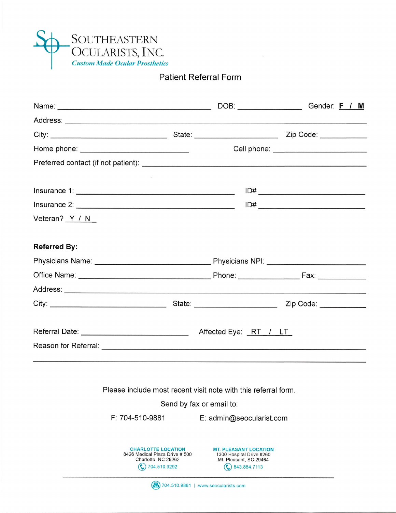

## Patient Referral Form

 $\bar{\mathcal{A}}$ 

|                     | Home phone: _________________________________                                                      |                                                                                                    |                                                                                                                       |
|---------------------|----------------------------------------------------------------------------------------------------|----------------------------------------------------------------------------------------------------|-----------------------------------------------------------------------------------------------------------------------|
|                     |                                                                                                    |                                                                                                    |                                                                                                                       |
|                     |                                                                                                    |                                                                                                    |                                                                                                                       |
|                     |                                                                                                    |                                                                                                    |                                                                                                                       |
| Veteran? Y / N      |                                                                                                    |                                                                                                    |                                                                                                                       |
| <b>Referred By:</b> |                                                                                                    |                                                                                                    |                                                                                                                       |
|                     |                                                                                                    |                                                                                                    |                                                                                                                       |
|                     |                                                                                                    |                                                                                                    |                                                                                                                       |
|                     |                                                                                                    |                                                                                                    | <u> 1989 - Johann Harry Harry Harry Harry Harry Harry Harry Harry Harry Harry Harry Harry Harry Harry Harry Harry</u> |
|                     |                                                                                                    |                                                                                                    |                                                                                                                       |
|                     |                                                                                                    |                                                                                                    |                                                                                                                       |
|                     |                                                                                                    |                                                                                                    |                                                                                                                       |
|                     |                                                                                                    |                                                                                                    |                                                                                                                       |
|                     | Please include most recent visit note with this referral form.                                     |                                                                                                    |                                                                                                                       |
|                     |                                                                                                    | Send by fax or email to:                                                                           |                                                                                                                       |
|                     | F: 704-510-9881                                                                                    | E: admin@seocularist.com                                                                           |                                                                                                                       |
|                     | <b>CHARLOTTE LOCATION</b><br>8426 Medical Plaza Drive # 500<br>Charlotte, NC 28262<br>704.510.9292 | <b>MT. PLEASANT LOCATION</b><br>1300 Hospital Drive #260<br>Mt. Pleasant, SC 29464<br>843.884.7113 |                                                                                                                       |
|                     | (2) 704.510.9881                                                                                   | www.seocularists.com                                                                               |                                                                                                                       |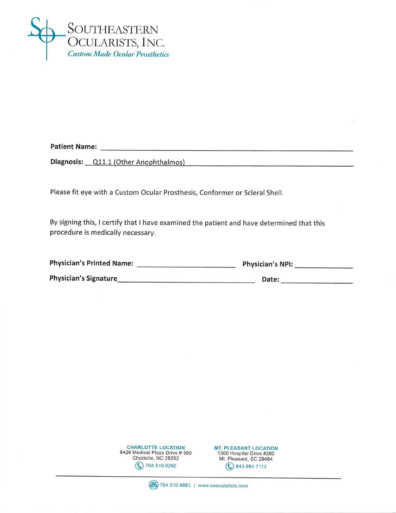

**Patient Name:** Name:

**Diagnosis:** Q11.1 (Other Anophthalmos)

Please fit eye with a Custom Ocular Prosthesis, Conformer or Scleral Shell.

By signing this, I certify that I have examined the patient and have determined that this procedure is medically necessary.

| <b>Physician's Printed Name:</b> | <b>Physician's NPI:</b> |
|----------------------------------|-------------------------|
| <b>Physician's Signature</b>     | Date:                   |

| <b>CHARLOTTE LOCATION</b>      |  |  |  |
|--------------------------------|--|--|--|
| 8426 Medical Plaza Drive # 500 |  |  |  |
| Charlotte, NC 28262            |  |  |  |
| $\binom{6}{1}$ 704.510.9292    |  |  |  |



(a) 704.510.9881 | www.seocularists.com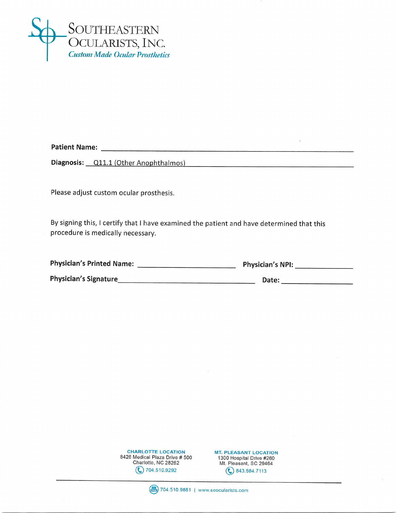

Diagnosis: <u>Q11.1</u> (Other Anophthalmos)

Please adjust custom ocular prosthesis.

By signing this, I certify that I have examined the patient and have determined that this procedure is medically necessary.

| <b>Physician's Printed Name:</b> | <b>Physician's NPI:</b> |
|----------------------------------|-------------------------|
| <b>Physician's Signature</b>     | Date:                   |

**CHARLOTTE LOCATION** 8426 Medical Plaza Drive # 500 Charlotte, NC 28262  $\binom{2}{3}$  704.510.9292

**MT. PLEASANT LOCATION** 1300 Hospital Drive #260 Mt. Pleasant, SC 29464  $\binom{6}{9}$  843.884.7113

(最) 704.510.9881 | www.seocularists.com